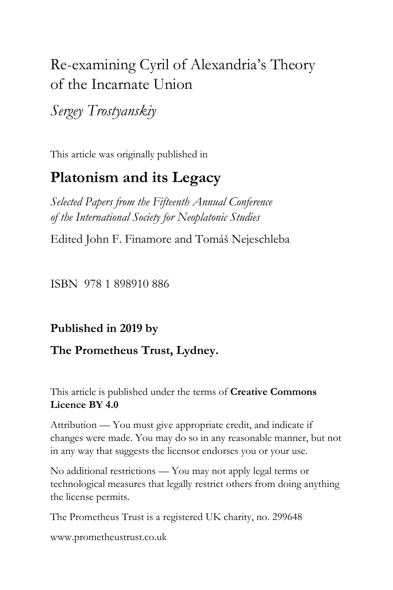# Re-examining Cyril of Alexandria's Theory of the Incarnate Union

*Sergey Trostyanskiy*

This article was originally published in

## **Platonism and its Legacy**

*Selected Papers from the Fifteenth Annual Conference of the International Society for Neoplatonic Studies*

Edited John F. Finamore and Tomáš Nejeschleba

ISBN 978 1 898910 886

**Published in 2019 by** 

### **The Prometheus Trust, Lydney.**

This article is published under the terms of **Creative Commons Licence BY 4.0**

Attribution — You must give appropriate credit, and indicate if changes were made. You may do so in any reasonable manner, but not in any way that suggests the licensor endorses you or your use.

No additional restrictions — You may not apply legal terms or technological measures that legally restrict others from doing anything the license permits.

The Prometheus Trust is a registered UK charity, no. 299648

[www.prometheustrust.co.uk](http://www.prometheustrust.co.uk/)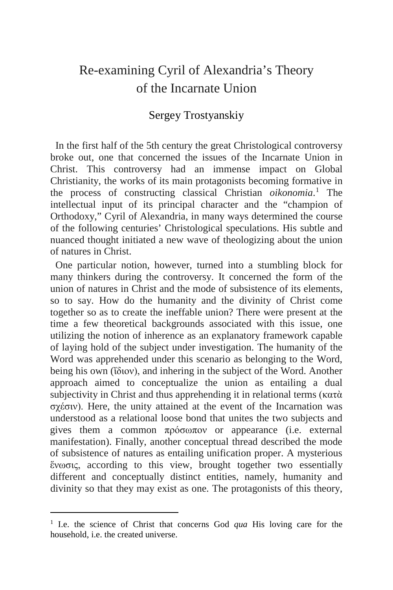### Re-examining Cyril of Alexandria's Theory of the Incarnate Union

#### Sergey Trostyanskiy

 In the first half of the 5th century the great Christological controversy broke out, one that concerned the issues of the Incarnate Union in Christ. This controversy had an immense impact on Global Christianity, the works of its main protagonists becoming formative in the process of constructing classical Christian *oikonomia*. [1](#page-1-0) The intellectual input of its principal character and the "champion of Orthodoxy," Cyril of Alexandria, in many ways determined the course of the following centuries' Christological speculations. His subtle and nuanced thought initiated a new wave of theologizing about the union of natures in Christ.

 One particular notion, however, turned into a stumbling block for many thinkers during the controversy. It concerned the form of the union of natures in Christ and the mode of subsistence of its elements, so to say. How do the humanity and the divinity of Christ come together so as to create the ineffable union? There were present at the time a few theoretical backgrounds associated with this issue, one utilizing the notion of inherence as an explanatory framework capable of laying hold of the subject under investigation. The humanity of the Word was apprehended under this scenario as belonging to the Word, being his own (ἴδιον), and inhering in the subject of the Word. Another approach aimed to conceptualize the union as entailing a dual subjectivity in Christ and thus apprehending it in relational terms (κατὰ σχέσιν). Here, the unity attained at the event of the Incarnation was understood as a relational loose bond that unites the two subjects and gives them a common πρόσωπον or appearance (i.e. external manifestation). Finally, another conceptual thread described the mode of subsistence of natures as entailing unification proper. A mysterious ἕνωσις, according to this view, brought together two essentially different and conceptually distinct entities, namely, humanity and divinity so that they may exist as one. The protagonists of this theory,

i,

<span id="page-1-0"></span><sup>1</sup> I.e. the science of Christ that concerns God *qua* His loving care for the household, i.e. the created universe.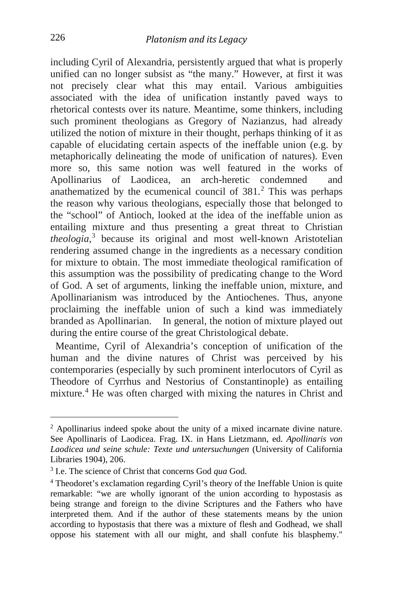including Cyril of Alexandria, persistently argued that what is properly unified can no longer subsist as "the many." However, at first it was not precisely clear what this may entail. Various ambiguities associated with the idea of unification instantly paved ways to rhetorical contests over its nature. Meantime, some thinkers, including such prominent theologians as Gregory of Nazianzus, had already utilized the notion of mixture in their thought, perhaps thinking of it as capable of elucidating certain aspects of the ineffable union (e.g. by metaphorically delineating the mode of unification of natures). Even more so, this same notion was well featured in the works of Apollinarius of Laodicea, an arch-heretic condemned and anathematized by the ecumenical council of  $381<sup>2</sup>$  $381<sup>2</sup>$  $381<sup>2</sup>$ . This was perhaps the reason why various theologians, especially those that belonged to the "school" of Antioch, looked at the idea of the ineffable union as entailing mixture and thus presenting a great threat to Christian *theologia,*[3](#page-2-1) because its original and most well-known Aristotelian rendering assumed change in the ingredients as a necessary condition for mixture to obtain. The most immediate theological ramification of this assumption was the possibility of predicating change to the Word of God. A set of arguments, linking the ineffable union, mixture, and Apollinarianism was introduced by the Antiochenes. Thus, anyone proclaiming the ineffable union of such a kind was immediately branded as Apollinarian. In general, the notion of mixture played out during the entire course of the great Christological debate.

 Meantime, Cyril of Alexandria's conception of unification of the human and the divine natures of Christ was perceived by his contemporaries (especially by such prominent interlocutors of Cyril as Theodore of Cyrrhus and Nestorius of Constantinople) as entailing mixture.[4](#page-2-2) He was often charged with mixing the natures in Christ and

<span id="page-2-0"></span><sup>2</sup> Apollinarius indeed spoke about the unity of a mixed incarnate divine nature. See Apollinaris of Laodicea. Frag. IX. in Hans Lietzmann, ed. *Apollinaris von Laodicea und seine schule: Texte und untersuchungen* (University of California Libraries 1904), 206.

<span id="page-2-1"></span><sup>3</sup> I.e. The science of Christ that concerns God *qua* God.

<span id="page-2-2"></span><sup>4</sup> Theodoret's exclamation regarding Cyril's theory of the Ineffable Union is quite remarkable: "we are wholly [ignorant](http://www.newadvent.org/cathen/07648a.htm) of the union according to hypostasis as being strange and foreign to the [divine Scriptures](http://www.newadvent.org/bible/index.html) and the Fathers who have interpreted them. And if the author of these statements means by the union according to hypostasis that there was a mixture of flesh and Godhead, we shall oppose his statement with all our might, and shall confute his [blasphemy.](http://www.newadvent.org/cathen/02595a.htm)"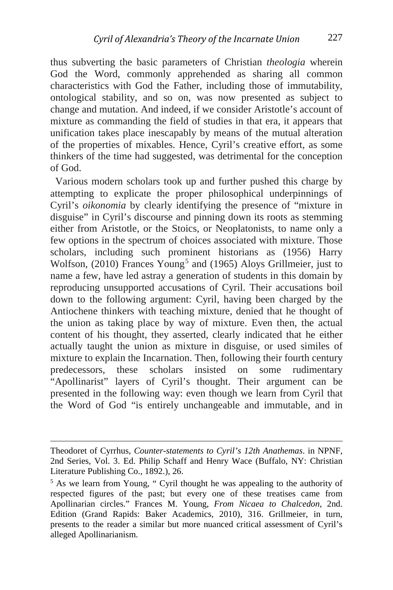thus subverting the basic parameters of Christian *theologia* wherein God the Word, commonly apprehended as sharing all common characteristics with God the Father, including those of immutability, ontological stability, and so on, was now presented as subject to change and mutation. And indeed, if we consider Aristotle's account of mixture as commanding the field of studies in that era, it appears that unification takes place inescapably by means of the mutual alteration of the properties of mixables. Hence, Cyril's creative effort, as some thinkers of the time had suggested, was detrimental for the conception of God.

 Various modern scholars took up and further pushed this charge by attempting to explicate the proper philosophical underpinnings of Cyril's *oikonomia* by clearly identifying the presence of "mixture in disguise" in Cyril's discourse and pinning down its roots as stemming either from Aristotle, or the Stoics, or Neoplatonists, to name only a few options in the spectrum of choices associated with mixture. Those scholars, including such prominent historians as (1956) Harry Wolfson, (2010) Frances Young<sup>[5](#page-3-0)</sup> and (1965) Aloys Grillmeier, just to name a few, have led astray a generation of students in this domain by reproducing unsupported accusations of Cyril. Their accusations boil down to the following argument: Cyril, having been charged by the Antiochene thinkers with teaching mixture, denied that he thought of the union as taking place by way of mixture. Even then, the actual content of his thought, they asserted, clearly indicated that he either actually taught the union as mixture in disguise, or used similes of mixture to explain the Incarnation. Then, following their fourth century predecessors, these scholars insisted on some rudimentary "Apollinarist" layers of Cyril's thought. Their argument can be presented in the following way: even though we learn from Cyril that the Word of God "is entirely unchangeable and immutable, and in

Theodoret of Cyrrhus, *Counter-statements to Cyril's 12th Anathemas*. in NPNF, 2nd Series, Vol. 3. Ed. Philip Schaff and Henry Wace (Buffalo, NY: Christian Literature Publishing Co., 1892.), 26.

<span id="page-3-0"></span><sup>5</sup> As we learn from Young, " Cyril thought he was appealing to the authority of respected figures of the past; but every one of these treatises came from Apollinarian circles." Frances M. Young, *From Nicaea to Chalcedon*, 2nd. Edition (Grand Rapids: Baker Academics, 2010), 316. Grillmeier, in turn, presents to the reader a similar but more nuanced critical assessment of Cyril's alleged Apollinarianism.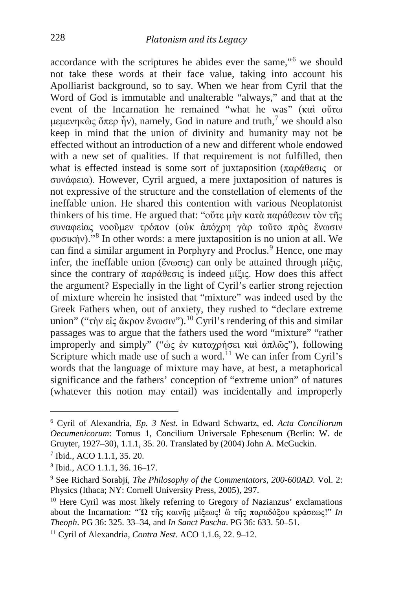accordance with the scriptures he abides ever the same,"[6](#page-4-0) we should not take these words at their face value, taking into account his Apolliarist background, so to say. When we hear from Cyril that the Word of God is immutable and unalterable "always," and that at the event of the Incarnation he remained "what he was" (καὶ οὕτω μεμενηκὼς ὅπερ ἦν), namely, God in nature and truth,<sup>[7](#page-4-1)</sup> we should also keep in mind that the union of divinity and humanity may not be effected without an introduction of a new and different whole endowed with a new set of qualities. If that requirement is not fulfilled, then what is effected instead is some sort of juxtaposition (παράθεσις or συνάφεια). However, Cyril argued, a mere juxtaposition of natures is not expressive of the structure and the constellation of elements of the ineffable union. He shared this contention with various Neoplatonist thinkers of his time. He argued that: "οὔτε μὴν κατὰ παράθεσιν τὸν τῆς συναφείας νοοῦμεν τρόπον (οὐκ ἀπόχρη γὰρ τοῦτο πρὸς ἕνωσιν φυσικήν)."[8](#page-4-2) In other words: a mere juxtaposition is no union at all. We can find a similar argument in Porphyry and Proclus.<sup>[9](#page-4-3)</sup> Hence, one may infer, the ineffable union (ἕνωσις) can only be attained through μίξις, since the contrary of παράθεσις is indeed μίξις. How does this affect the argument? Especially in the light of Cyril's earlier strong rejection of mixture wherein he insisted that "mixture" was indeed used by the Greek Fathers when, out of anxiety, they rushed to "declare extreme union" ("τὴν εἰς ἄκρον ἕνωσιν").[10](#page-4-4) Cyril's rendering of this and similar passages was to argue that the fathers used the word "mixture" "rather improperly and simply" ("ὡς ἐν καταχρήσει καὶ ἁπλῶς"), following Scripture which made use of such a word.<sup>[11](#page-4-5)</sup> We can infer from Cyril's words that the language of mixture may have, at best, a metaphorical significance and the fathers' conception of "extreme union" of natures (whatever this notion may entail) was incidentally and improperly

<span id="page-4-0"></span><sup>6</sup> Cyril of Alexandria, *Ep. 3 Nest.* in Edward Schwartz, ed. *Acta Conciliorum Oecumenicorum*: Tomus 1, Concilium Universale Ephesenum (Berlin: W. de Gruyter, 1927–30), 1.1.1, 35. 20. Translated by (2004) John A. McGuckin.

<span id="page-4-1"></span><sup>7</sup> Ibid., ACO 1.1.1, 35. 20.

<span id="page-4-2"></span><sup>8</sup> Ibid., ACO 1.1.1, 36. 16–17.

<span id="page-4-3"></span><sup>9</sup> See Richard Sorabji, *The Philosophy of the Commentators, 200-600AD*. Vol. 2: Physics (Ithaca; NY: Cornell University Press, 2005), 297.

<span id="page-4-4"></span><sup>&</sup>lt;sup>10</sup> Here Cyril was most likely referring to Gregory of Nazianzus' exclamations about the Incarnation: "Ὢ τῆς καινῆς μίξεως! ὢ τῆς παραδόξου κράσεως!" *In Theoph*. PG 36: 325. 33–34, and *In Sanct Pascha*. PG 36: 633. 50–51. 11 Cyril of Alexandria, *Contra Nest*. ACO 1.1.6, 22. 9–12.

<span id="page-4-5"></span>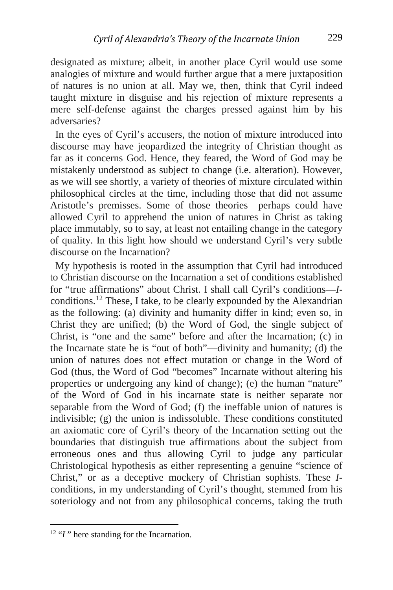designated as mixture; albeit, in another place Cyril would use some analogies of mixture and would further argue that a mere juxtaposition of natures is no union at all. May we, then, think that Cyril indeed taught mixture in disguise and his rejection of mixture represents a mere self-defense against the charges pressed against him by his adversaries?

 In the eyes of Cyril's accusers, the notion of mixture introduced into discourse may have jeopardized the integrity of Christian thought as far as it concerns God. Hence, they feared, the Word of God may be mistakenly understood as subject to change (i.e. alteration). However, as we will see shortly, a variety of theories of mixture circulated within philosophical circles at the time, including those that did not assume Aristotle's premisses. Some of those theories perhaps could have allowed Cyril to apprehend the union of natures in Christ as taking place immutably, so to say, at least not entailing change in the category of quality. In this light how should we understand Cyril's very subtle discourse on the Incarnation?

 My hypothesis is rooted in the assumption that Cyril had introduced to Christian discourse on the Incarnation a set of conditions established for "true affirmations" about Christ. I shall call Cyril's conditions—*I*conditions.[12](#page-5-0) These, I take, to be clearly expounded by the Alexandrian as the following: (a) divinity and humanity differ in kind; even so, in Christ they are unified; (b) the Word of God, the single subject of Christ, is "one and the same" before and after the Incarnation; (c) in the Incarnate state he is "out of both"—divinity and humanity; (d) the union of natures does not effect mutation or change in the Word of God (thus, the Word of God "becomes" Incarnate without altering his properties or undergoing any kind of change); (e) the human "nature" of the Word of God in his incarnate state is neither separate nor separable from the Word of God; (f) the ineffable union of natures is indivisible; (g) the union is indissoluble. These conditions constituted an axiomatic core of Cyril's theory of the Incarnation setting out the boundaries that distinguish true affirmations about the subject from erroneous ones and thus allowing Cyril to judge any particular Christological hypothesis as either representing a genuine "science of Christ," or as a deceptive mockery of Christian sophists. These *I*conditions, in my understanding of Cyril's thought, stemmed from his soteriology and not from any philosophical concerns, taking the truth

<span id="page-5-0"></span><sup>&</sup>lt;sup>12</sup> "*I*" here standing for the Incarnation.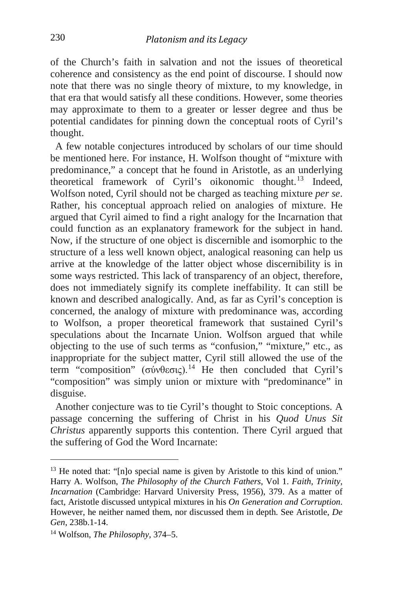of the Church's faith in salvation and not the issues of theoretical coherence and consistency as the end point of discourse. I should now note that there was no single theory of mixture, to my knowledge, in that era that would satisfy all these conditions. However, some theories may approximate to them to a greater or lesser degree and thus be potential candidates for pinning down the conceptual roots of Cyril's thought.

 A few notable conjectures introduced by scholars of our time should be mentioned here. For instance, H. Wolfson thought of "mixture with predominance," a concept that he found in Aristotle, as an underlying theoretical framework of Cyril's oikonomic thought.[13](#page-6-0) Indeed, Wolfson noted, Cyril should not be charged as teaching mixture *per se*. Rather, his conceptual approach relied on analogies of mixture. He argued that Cyril aimed to find a right analogy for the Incarnation that could function as an explanatory framework for the subject in hand. Now, if the structure of one object is discernible and isomorphic to the structure of a less well known object, analogical reasoning can help us arrive at the knowledge of the latter object whose discernibility is in some ways restricted. This lack of transparency of an object, therefore, does not immediately signify its complete ineffability. It can still be known and described analogically. And, as far as Cyril's conception is concerned, the analogy of mixture with predominance was, according to Wolfson, a proper theoretical framework that sustained Cyril's speculations about the Incarnate Union. Wolfson argued that while objecting to the use of such terms as "confusion," "mixture," etc., as inappropriate for the subject matter, Cyril still allowed the use of the term "composition" (σύνθεσις).<sup>[14](#page-6-1)</sup> He then concluded that Cyril's "composition" was simply union or mixture with "predominance" in disguise.

 Another conjecture was to tie Cyril's thought to Stoic conceptions. A passage concerning the suffering of Christ in his *Quod Unus Sit Christus* apparently supports this contention. There Cyril argued that the suffering of God the Word Incarnate:

i,

<span id="page-6-0"></span><sup>&</sup>lt;sup>13</sup> He noted that: "[n]o special name is given by Aristotle to this kind of union." Harry A. Wolfson, *The Philosophy of the Church Fathers*, Vol 1. *Faith, Trinity, Incarnation* (Cambridge: Harvard University Press, 1956), 379. As a matter of fact, Aristotle discussed untypical mixtures in his *On Generation and Corruption*. However, he neither named them, nor discussed them in depth. See Aristotle, *De Gen*, 238b.1-14.

<span id="page-6-1"></span><sup>14</sup> Wolfson, *The Philosophy*, 374–5.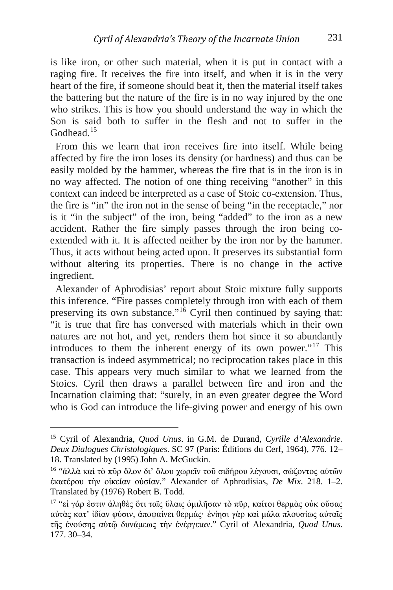is like iron, or other such material, when it is put in contact with a raging fire. It receives the fire into itself, and when it is in the very heart of the fire, if someone should beat it, then the material itself takes the battering but the nature of the fire is in no way injured by the one who strikes. This is how you should understand the way in which the Son is said both to suffer in the flesh and not to suffer in the Godhead<sup>[15](#page-7-0)</sup>

 From this we learn that iron receives fire into itself. While being affected by fire the iron loses its density (or hardness) and thus can be easily molded by the hammer, whereas the fire that is in the iron is in no way affected. The notion of one thing receiving "another" in this context can indeed be interpreted as a case of Stoic co-extension. Thus, the fire is "in" the iron not in the sense of being "in the receptacle," nor is it "in the subject" of the iron, being "added" to the iron as a new accident. Rather the fire simply passes through the iron being coextended with it. It is affected neither by the iron nor by the hammer. Thus, it acts without being acted upon. It preserves its substantial form without altering its properties. There is no change in the active ingredient.

 Alexander of Aphrodisias' report about Stoic mixture fully supports this inference. "Fire passes completely through iron with each of them preserving its own substance."<sup>[16](#page-7-1)</sup> Cyril then continued by saying that: "it is true that fire has conversed with materials which in their own natures are not hot, and yet, renders them hot since it so abundantly introduces to them the inherent energy of its own power."[17](#page-7-2) This transaction is indeed asymmetrical; no reciprocation takes place in this case. This appears very much similar to what we learned from the Stoics. Cyril then draws a parallel between fire and iron and the Incarnation claiming that: "surely, in an even greater degree the Word who is God can introduce the life-giving power and energy of his own

<span id="page-7-0"></span>i, <sup>15</sup> Cyril of Alexandria, *Quod Unus*. in G.M. de Durand, *Cyrille d'Alexandrie. Deux Dialogues Christologiques*. SC 97 (Paris: Éditions du Cerf, 1964), 776. 12– 18. Translated by (1995) John A. McGuckin.

<span id="page-7-1"></span><sup>16</sup> "ἀλλὰ καὶ τὸ πῦρ ὅλον δι' ὅλου χωρεῖν τοῦ σιδήρου λέγουσι, σώζοντος αὐτῶν ἑκατέρου τὴν οἰκείαν οὐσίαν*.*" Alexander of Aphrodisias, *De Mix*. 218. 1–2. Translated by (1976) Robert B. Todd.

<span id="page-7-2"></span><sup>&</sup>lt;sup>17</sup> "εί γάρ ἐστιν ἀληθὲς ὅτι ταῖς ὕλαις ὁμιλῆσαν τὸ πῦρ, καίτοι θερμὰς οὐκ οὔσας αὐτὰς κατ' ἰδίαν φύσιν, ἀποφαίνει θερμάς· ἐνίησι γὰρ καὶ μάλα πλουσίως αὐταῖς τῆς ἐνούσης αὐτῷ δυνάμεως τὴν ἐνέργειαν." Cyril of Alexandria, *Quod Unus.*  177. 30–34.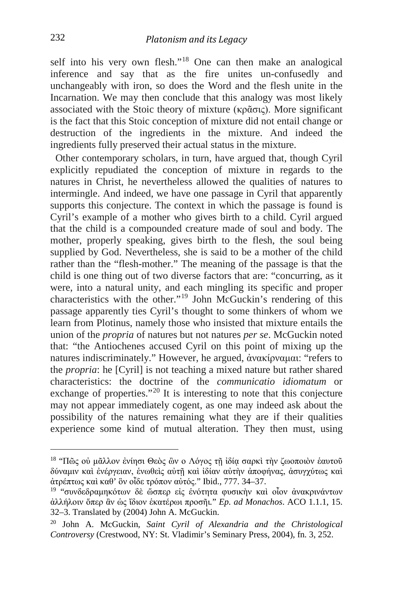self into his very own flesh."[18](#page-8-0) One can then make an analogical inference and say that as the fire unites un-confusedly and unchangeably with iron, so does the Word and the flesh unite in the Incarnation. We may then conclude that this analogy was most likely associated with the Stoic theory of mixture (κρᾶσις). More significant is the fact that this Stoic conception of mixture did not entail change or destruction of the ingredients in the mixture. And indeed the ingredients fully preserved their actual status in the mixture.

 Other contemporary scholars, in turn, have argued that, though Cyril explicitly repudiated the conception of mixture in regards to the natures in Christ, he nevertheless allowed the qualities of natures to intermingle. And indeed, we have one passage in Cyril that apparently supports this conjecture. The context in which the passage is found is Cyril's example of a mother who gives birth to a child. Cyril argued that the child is a compounded creature made of soul and body. The mother, properly speaking, gives birth to the flesh, the soul being supplied by God. Nevertheless, she is said to be a mother of the child rather than the "flesh-mother." The meaning of the passage is that the child is one thing out of two diverse factors that are: "concurring, as it were, into a natural unity, and each mingling its specific and proper characteristics with the other."[19](#page-8-1) John McGuckin's rendering of this passage apparently ties Cyril's thought to some thinkers of whom we learn from Plotinus, namely those who insisted that mixture entails the union of the *propria* of natures but not natures *per se*. McGuckin noted that: "the Antiochenes accused Cyril on this point of mixing up the natures indiscriminately." However, he argued, ἀνακίρναμαι: "refers to the *propria*: he [Cyril] is not teaching a mixed nature but rather shared characteristics: the doctrine of the *communicatio idiomatum* or exchange of properties."[20](#page-8-2) It is interesting to note that this conjecture may not appear immediately cogent, as one may indeed ask about the possibility of the natures remaining what they are if their qualities experience some kind of mutual alteration. They then must, using

<span id="page-8-0"></span><sup>18</sup> "Πῶς οὐ μᾶλλον ἐνίησι Θεὸς ὢν ο Λόγος τῇ ἰδίᾳ σαρκὶ τὴν ζωοποιὸν ἑαυτοῦ δύναμιν καὶ ἐνέργειαν, ἑνωθεὶς αὐτῇ καὶ ἰδίαν αὐτὴν ἀποφήνας, ἀσυγχύτως καὶ ἀτρέπτως καὶ καθ' ὃν οἶδε τρόπον αὐτός." Ibid., 777. 34–37.

<span id="page-8-1"></span><sup>19</sup> "συνδεδραμηκότων δὲ ὥσπερ εἰς ἑνότητα φυσικὴν καὶ οἶον ἀνακρινάντων ἀλλήλοιν ὅπερ ἂν ὡς ἴδιον ἑκατέρωι προσῆι*.*" *Ep. ad Monachos*. ACO 1.1.1, 15. 32–3. Translated by (2004) John A. McGuckin.

<span id="page-8-2"></span><sup>20</sup> John A. McGuckin, *Saint Cyril of Alexandria and the Christological Controversy* (Crestwood, NY: St. Vladimir's Seminary Press, 2004), fn. 3, 252.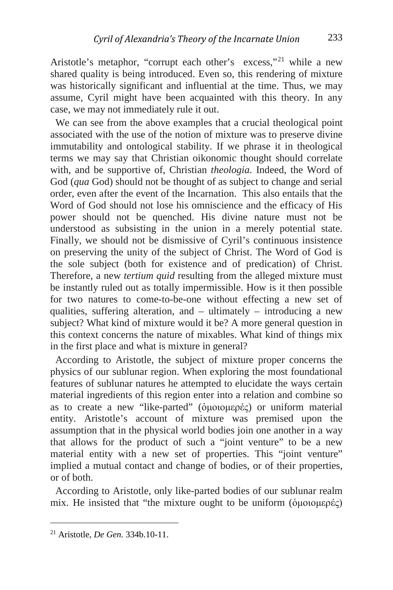Aristotle's metaphor, "corrupt each other's excess,"<sup>[21](#page-9-0)</sup> while a new shared quality is being introduced. Even so, this rendering of mixture was historically significant and influential at the time. Thus, we may assume, Cyril might have been acquainted with this theory. In any case, we may not immediately rule it out.

 We can see from the above examples that a crucial theological point associated with the use of the notion of mixture was to preserve divine immutability and ontological stability. If we phrase it in theological terms we may say that Christian oikonomic thought should correlate with, and be supportive of, Christian *theologia*. Indeed, the Word of God (*qua* God) should not be thought of as subject to change and serial order, even after the event of the Incarnation. This also entails that the Word of God should not lose his omniscience and the efficacy of His power should not be quenched. His divine nature must not be understood as subsisting in the union in a merely potential state. Finally, we should not be dismissive of Cyril's continuous insistence on preserving the unity of the subject of Christ. The Word of God is the sole subject (both for existence and of predication) of Christ. Therefore, a new *tertium quid* resulting from the alleged mixture must be instantly ruled out as totally impermissible. How is it then possible for two natures to come-to-be-one without effecting a new set of qualities, suffering alteration, and – ultimately – introducing a new subject? What kind of mixture would it be? A more general question in this context concerns the nature of mixables. What kind of things mix in the first place and what is mixture in general?

 According to Aristotle, the subject of mixture proper concerns the physics of our sublunar region. When exploring the most foundational features of sublunar natures he attempted to elucidate the ways certain material ingredients of this region enter into a relation and combine so as to create a new "like-parted" (ὁμοιομερές) or uniform material entity. Aristotle's account of mixture was premised upon the assumption that in the physical world bodies join one another in a way that allows for the product of such a "joint venture" to be a new material entity with a new set of properties. This "joint venture" implied a mutual contact and change of bodies, or of their properties, or of both.

 According to Aristotle, only like-parted bodies of our sublunar realm mix. He insisted that "the mixture ought to be uniform (ὁμοιομερές)

<span id="page-9-0"></span><sup>21</sup> Aristotle, *De Gen.* 334b.10-11.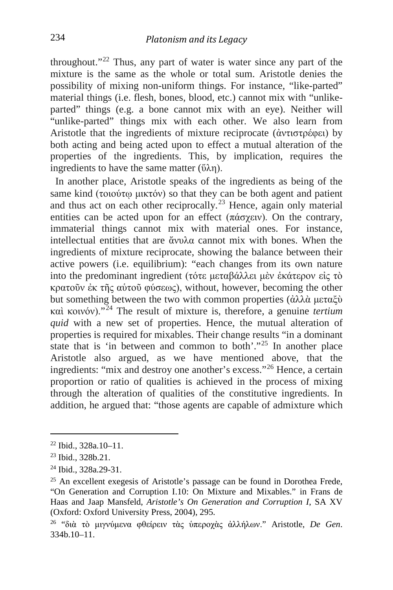throughout."[22](#page-10-0) Thus, any part of water is water since any part of the mixture is the same as the whole or total sum. Aristotle denies the possibility of mixing non-uniform things. For instance, "like-parted" material things (i.e. flesh, bones, blood, etc.) cannot mix with "unlikeparted" things (e.g. a bone cannot mix with an eye). Neither will "unlike-parted" things mix with each other. We also learn from Aristotle that the ingredients of mixture reciprocate (ἀντιστρέφει) by both acting and being acted upon to effect a mutual alteration of the properties of the ingredients. This, by implication, requires the ingredients to have the same matter  $(\tilde{\nu}\lambda\eta)$ .

 In another place, Aristotle speaks of the ingredients as being of the same kind (τοιούτῳ μικτόν) so that they can be both agent and patient and thus act on each other reciprocally.<sup>[23](#page-10-1)</sup> Hence, again only material entities can be acted upon for an effect (πάσχειν). On the contrary, immaterial things cannot mix with material ones. For instance, intellectual entities that are ἄνυλα cannot mix with bones. When the ingredients of mixture reciprocate, showing the balance between their active powers (i.e. equilibrium): "each changes from its own nature into the predominant ingredient (τότε μεταβάλλει μὲν ἑκάτερον εἰς τὸ κρατοῦν ἐκ τῆς αὑτοῦ φύσεως), without, however, becoming the other but something between the two with common properties (ἀλλὰ μεταξὺ καὶ κοινόν)."[24](#page-10-2) The result of mixture is, therefore, a genuine *tertium quid* with a new set of properties. Hence, the mutual alteration of properties is required for mixables. Their change results "in a dominant state that is 'in between and common to both'."<sup>[25](#page-10-3)</sup> In another place Aristotle also argued, as we have mentioned above, that the ingredients: "mix and destroy one another's excess."[26](#page-10-4) Hence, a certain proportion or ratio of qualities is achieved in the process of mixing through the alteration of qualities of the constitutive ingredients. In addition, he argued that: "those agents are capable of admixture which

<span id="page-10-0"></span><sup>22</sup> Ibid., 328a.10–11.

<span id="page-10-1"></span><sup>23</sup> Ibid., 328b.21.

<span id="page-10-2"></span><sup>24</sup> Ibid., 328a.29-31.

<span id="page-10-3"></span><sup>&</sup>lt;sup>25</sup> An excellent exegesis of Aristotle's passage can be found in Dorothea Frede, "On Generation and Corruption I.10: On Mixture and Mixables." in Frans de Haas and Jaap Mansfeld, *Aristotle's On Generation and Corruption I*, SA XV (Oxford: Oxford University Press, 2004), 295.

<span id="page-10-4"></span><sup>26</sup> "διὰ τὸ μιγνύμενα φθείρειν τὰς ὑπεροχὰς ἀλλήλων." Aristotle, *De Gen*. 334b.10–11.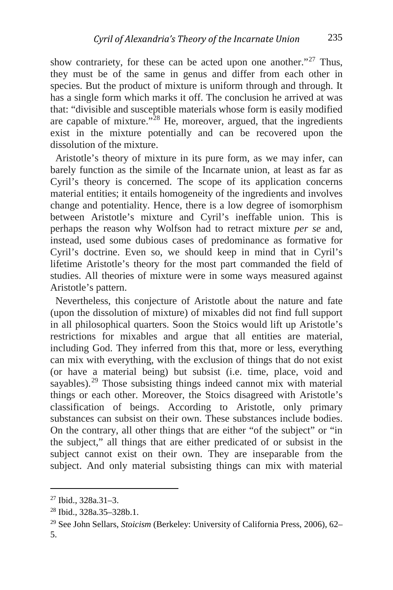show contrariety, for these can be acted upon one another."<sup>[27](#page-11-0)</sup> Thus, they must be of the same in genus and differ from each other in species. But the product of mixture is uniform through and through. It has a single form which marks it off. The conclusion he arrived at was that: "divisible and susceptible materials whose form is easily modified are capable of mixture."[28](#page-11-1) He, moreover, argued, that the ingredients exist in the mixture potentially and can be recovered upon the dissolution of the mixture.

 Aristotle's theory of mixture in its pure form, as we may infer, can barely function as the simile of the Incarnate union, at least as far as Cyril's theory is concerned. The scope of its application concerns material entities; it entails homogeneity of the ingredients and involves change and potentiality. Hence, there is a low degree of isomorphism between Aristotle's mixture and Cyril's ineffable union. This is perhaps the reason why Wolfson had to retract mixture *per se* and, instead, used some dubious cases of predominance as formative for Cyril's doctrine. Even so, we should keep in mind that in Cyril's lifetime Aristotle's theory for the most part commanded the field of studies. All theories of mixture were in some ways measured against Aristotle's pattern.

 Nevertheless, this conjecture of Aristotle about the nature and fate (upon the dissolution of mixture) of mixables did not find full support in all philosophical quarters. Soon the Stoics would lift up Aristotle's restrictions for mixables and argue that all entities are material, including God. They inferred from this that, more or less, everything can mix with everything, with the exclusion of things that do not exist (or have a material being) but subsist (i.e. time, place, void and sayables).<sup>[29](#page-11-2)</sup> Those subsisting things indeed cannot mix with material things or each other. Moreover, the Stoics disagreed with Aristotle's classification of beings. According to Aristotle, only primary substances can subsist on their own. These substances include bodies. On the contrary, all other things that are either "of the subject" or "in the subject," all things that are either predicated of or subsist in the subject cannot exist on their own. They are inseparable from the subject. And only material subsisting things can mix with material

<span id="page-11-0"></span> $27$  Ibid., 328a.31-3.

<span id="page-11-1"></span> $28$  Ibid., 328a.35–328b.1.

<span id="page-11-2"></span><sup>29</sup> See John Sellars, *Stoicism* (Berkeley: University of California Press, 2006), 62– 5.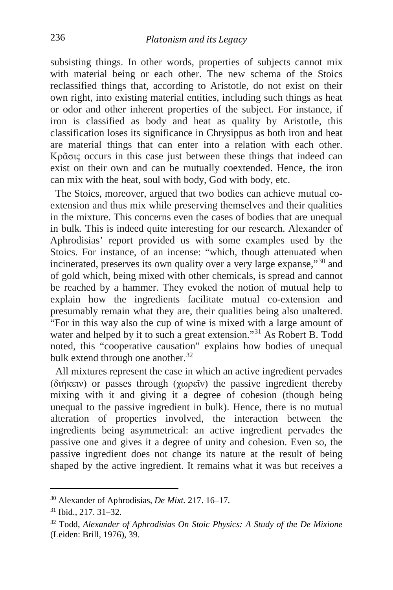subsisting things. In other words, properties of subjects cannot mix with material being or each other. The new schema of the Stoics reclassified things that, according to Aristotle, do not exist on their own right, into existing material entities, including such things as heat or odor and other inherent properties of the subject. For instance, if iron is classified as body and heat as quality by Aristotle, this classification loses its significance in Chrysippus as both iron and heat are material things that can enter into a relation with each other. Κρᾶσις occurs in this case just between these things that indeed can exist on their own and can be mutually coextended. Hence, the iron can mix with the heat, soul with body, God with body, etc.

 The Stoics, moreover, argued that two bodies can achieve mutual coextension and thus mix while preserving themselves and their qualities in the mixture. This concerns even the cases of bodies that are unequal in bulk. This is indeed quite interesting for our research. Alexander of Aphrodisias' report provided us with some examples used by the Stoics. For instance, of an incense: "which, though attenuated when incinerated, preserves its own quality over a very large expanse,"[30](#page-12-0) and of gold which, being mixed with other chemicals, is spread and cannot be reached by a hammer. They evoked the notion of mutual help to explain how the ingredients facilitate mutual co-extension and presumably remain what they are, their qualities being also unaltered. "For in this way also the cup of wine is mixed with a large amount of water and helped by it to such a great extension."<sup>[31](#page-12-1)</sup> As Robert B. Todd noted, this "cooperative causation" explains how bodies of unequal bulk extend through one another. $32$ 

 All mixtures represent the case in which an active ingredient pervades (διήκειν) or passes through (χωρεῖν) the passive ingredient thereby mixing with it and giving it a degree of cohesion (though being unequal to the passive ingredient in bulk). Hence, there is no mutual alteration of properties involved, the interaction between the ingredients being asymmetrical: an active ingredient pervades the passive one and gives it a degree of unity and cohesion. Even so, the passive ingredient does not change its nature at the result of being shaped by the active ingredient. It remains what it was but receives a

i,

<span id="page-12-0"></span><sup>30</sup> Alexander of Aphrodisias, *De Mixt.* 217. 16–17*.* 

<span id="page-12-1"></span><sup>31</sup> Ibid., 217. 31–32.

<span id="page-12-2"></span><sup>32</sup> Todd, *Alexander of Aphrodisias On Stoic Physics: A Study of the De Mixione* (Leiden: Brill, 1976), 39.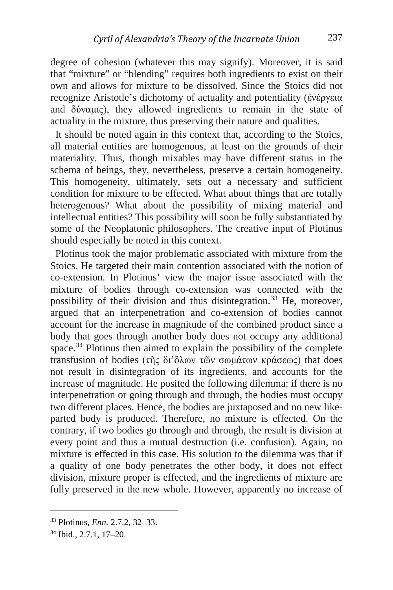degree of cohesion (whatever this may signify). Moreover, it is said that "mixture" or "blending" requires both ingredients to exist on their own and allows for mixture to be dissolved. Since the Stoics did not recognize Aristotle's dichotomy of actuality and potentiality (ἐνέργεια and δύναμις), they allowed ingredients to remain in the state of actuality in the mixture, thus preserving their nature and qualities.

 It should be noted again in this context that, according to the Stoics, all material entities are homogenous, at least on the grounds of their materiality. Thus, though mixables may have different status in the schema of beings, they, nevertheless, preserve a certain homogeneity. This homogeneity, ultimately, sets out a necessary and sufficient condition for mixture to be effected. What about things that are totally heterogenous? What about the possibility of mixing material and intellectual entities? This possibility will soon be fully substantiated by some of the Neoplatonic philosophers. The creative input of Plotinus should especially be noted in this context.

 Plotinus took the major problematic associated with mixture from the Stoics. He targeted their main contention associated with the notion of co-extension. In Plotinus' view the major issue associated with the mixture of bodies through co-extension was connected with the possibility of their division and thus disintegration.<sup>[33](#page-13-0)</sup> He, moreover, argued that an interpenetration and co-extension of bodies cannot account for the increase in magnitude of the combined product since a body that goes through another body does not occupy any additional space.<sup>[34](#page-13-1)</sup> Plotinus then aimed to explain the possibility of the complete transfusion of bodies (τῆς δι'ὅλων τῶν σωμάτων κράσεως) that does not result in disintegration of its ingredients, and accounts for the increase of magnitude. He posited the following dilemma: if there is no interpenetration or going through and through, the bodies must occupy two different places. Hence, the bodies are juxtaposed and no new likeparted body is produced. Therefore, no mixture is effected. On the contrary, if two bodies go through and through, the result is division at every point and thus a mutual destruction (i.e. confusion). Again, no mixture is effected in this case. His solution to the dilemma was that if a quality of one body penetrates the other body, it does not effect division, mixture proper is effected, and the ingredients of mixture are fully preserved in the new whole. However, apparently no increase of

<span id="page-13-0"></span><sup>33</sup> Plotinus, *Enn.* 2.7.2, 32–33.

<span id="page-13-1"></span><sup>34</sup> Ibid., 2.7.1, 17–20.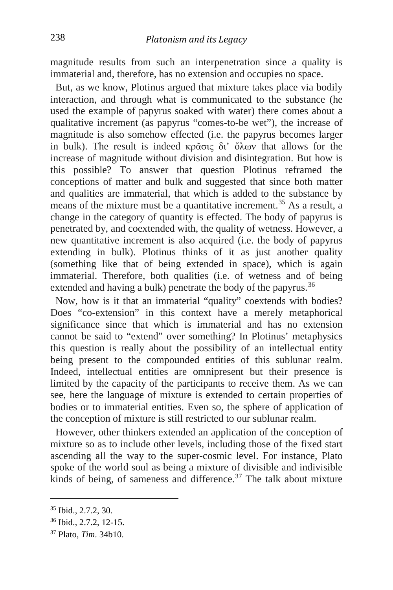magnitude results from such an interpenetration since a quality is immaterial and, therefore, has no extension and occupies no space.

 But, as we know, Plotinus argued that mixture takes place via bodily interaction, and through what is communicated to the substance (he used the example of papyrus soaked with water) there comes about a qualitative increment (as papyrus "comes-to-be wet"), the increase of magnitude is also somehow effected (i.e. the papyrus becomes larger in bulk). The result is indeed κρᾶσις δι' ὅλων that allows for the increase of magnitude without division and disintegration. But how is this possible? To answer that question Plotinus reframed the conceptions of matter and bulk and suggested that since both matter and qualities are immaterial, that which is added to the substance by means of the mixture must be a quantitative increment.<sup>[35](#page-14-0)</sup> As a result, a change in the category of quantity is effected. The body of papyrus is penetrated by, and coextended with, the quality of wetness. However, a new quantitative increment is also acquired (i.e. the body of papyrus extending in bulk). Plotinus thinks of it as just another quality (something like that of being extended in space), which is again immaterial. Therefore, both qualities (i.e. of wetness and of being extended and having a bulk) penetrate the body of the papyrus.<sup>[36](#page-14-1)</sup>

 Now, how is it that an immaterial "quality" coextends with bodies? Does "co-extension" in this context have a merely metaphorical significance since that which is immaterial and has no extension cannot be said to "extend" over something? In Plotinus' metaphysics this question is really about the possibility of an intellectual entity being present to the compounded entities of this sublunar realm. Indeed, intellectual entities are omnipresent but their presence is limited by the capacity of the participants to receive them. As we can see, here the language of mixture is extended to certain properties of bodies or to immaterial entities. Even so, the sphere of application of the conception of mixture is still restricted to our sublunar realm.

 However, other thinkers extended an application of the conception of mixture so as to include other levels, including those of the fixed start ascending all the way to the super-cosmic level. For instance, Plato spoke of the world soul as being a mixture of divisible and indivisible kinds of being, of sameness and difference. $37$  The talk about mixture

<span id="page-14-0"></span><sup>35</sup> Ibid., 2.7.2, 30.

<span id="page-14-1"></span><sup>36</sup> Ibid., 2.7.2, 12-15.

<span id="page-14-2"></span><sup>37</sup> Plato, *Tim*. 34b10.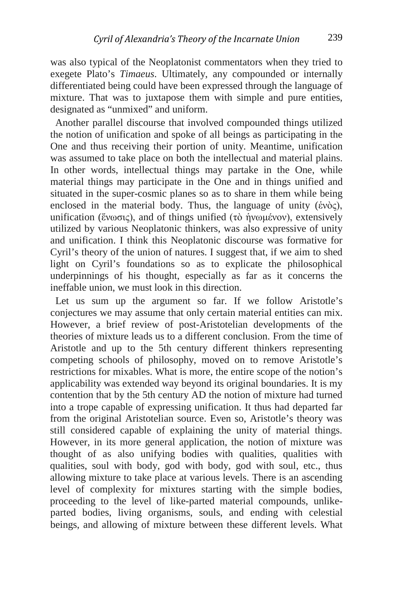was also typical of the Neoplatonist commentators when they tried to exegete Plato's *Timaeus*. Ultimately, any compounded or internally differentiated being could have been expressed through the language of mixture. That was to juxtapose them with simple and pure entities, designated as "unmixed" and uniform.

 Another parallel discourse that involved compounded things utilized the notion of unification and spoke of all beings as participating in the One and thus receiving their portion of unity. Meantime, unification was assumed to take place on both the intellectual and material plains. In other words, intellectual things may partake in the One, while material things may participate in the One and in things unified and situated in the super-cosmic planes so as to share in them while being enclosed in the material body. Thus, the language of unity (ένὸς), unification (ἕνωσις), and of things unified (τὸ ἡνωμένον), extensively utilized by various Neoplatonic thinkers, was also expressive of unity and unification. I think this Neoplatonic discourse was formative for Cyril's theory of the union of natures. I suggest that, if we aim to shed light on Cyril's foundations so as to explicate the philosophical underpinnings of his thought, especially as far as it concerns the ineffable union, we must look in this direction.

 Let us sum up the argument so far. If we follow Aristotle's conjectures we may assume that only certain material entities can mix. However, a brief review of post-Aristotelian developments of the theories of mixture leads us to a different conclusion. From the time of Aristotle and up to the 5th century different thinkers representing competing schools of philosophy, moved on to remove Aristotle's restrictions for mixables. What is more, the entire scope of the notion's applicability was extended way beyond its original boundaries. It is my contention that by the 5th century AD the notion of mixture had turned into a trope capable of expressing unification. It thus had departed far from the original Aristotelian source. Even so, Aristotle's theory was still considered capable of explaining the unity of material things. However, in its more general application, the notion of mixture was thought of as also unifying bodies with qualities, qualities with qualities, soul with body, god with body, god with soul, etc., thus allowing mixture to take place at various levels. There is an ascending level of complexity for mixtures starting with the simple bodies, proceeding to the level of like-parted material compounds, unlikeparted bodies, living organisms, souls, and ending with celestial beings, and allowing of mixture between these different levels. What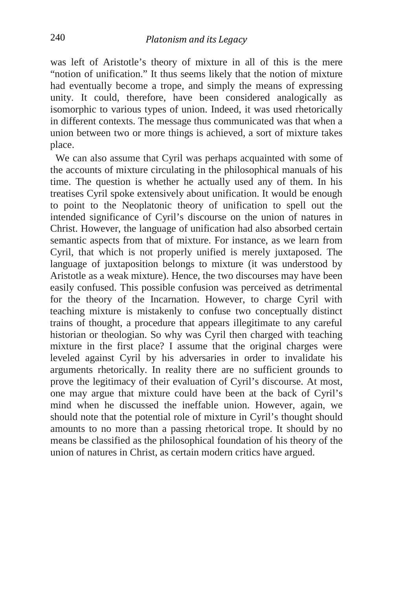was left of Aristotle's theory of mixture in all of this is the mere "notion of unification." It thus seems likely that the notion of mixture had eventually become a trope, and simply the means of expressing unity. It could, therefore, have been considered analogically as isomorphic to various types of union. Indeed, it was used rhetorically in different contexts. The message thus communicated was that when a union between two or more things is achieved, a sort of mixture takes place.

 We can also assume that Cyril was perhaps acquainted with some of the accounts of mixture circulating in the philosophical manuals of his time. The question is whether he actually used any of them. In his treatises Cyril spoke extensively about unification. It would be enough to point to the Neoplatonic theory of unification to spell out the intended significance of Cyril's discourse on the union of natures in Christ. However, the language of unification had also absorbed certain semantic aspects from that of mixture. For instance, as we learn from Cyril, that which is not properly unified is merely juxtaposed. The language of juxtaposition belongs to mixture (it was understood by Aristotle as a weak mixture). Hence, the two discourses may have been easily confused. This possible confusion was perceived as detrimental for the theory of the Incarnation. However, to charge Cyril with teaching mixture is mistakenly to confuse two conceptually distinct trains of thought, a procedure that appears illegitimate to any careful historian or theologian. So why was Cyril then charged with teaching mixture in the first place? I assume that the original charges were leveled against Cyril by his adversaries in order to invalidate his arguments rhetorically. In reality there are no sufficient grounds to prove the legitimacy of their evaluation of Cyril's discourse. At most, one may argue that mixture could have been at the back of Cyril's mind when he discussed the ineffable union. However, again, we should note that the potential role of mixture in Cyril's thought should amounts to no more than a passing rhetorical trope. It should by no means be classified as the philosophical foundation of his theory of the union of natures in Christ, as certain modern critics have argued.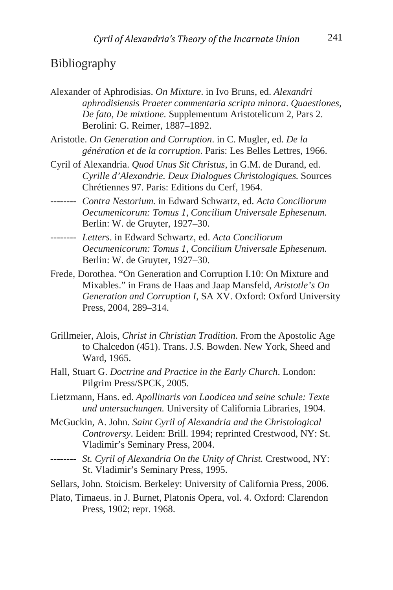#### Bibliography

Alexander of Aphrodisias. *On Mixture*. in Ivo Bruns, ed. *Alexandri aphrodisiensis Praeter commentaria scripta minora*. *Quaestiones, De fato, De mixtione.* Supplementum Aristotelicum 2, Pars 2. Berolini: G. Reimer, 1887–1892.

Aristotle. *On Generation and Corruption*. in C. Mugler, ed. *De la génération et de la corruption*. Paris: Les Belles Lettres, 1966.

- Cyril of Alexandria. *Quod Unus Sit Christus*, in G.M. de Durand, ed. *Cyrille d'Alexandrie. Deux Dialogues Christologiques.* Sources Chrétiennes 97. Paris: Editions du Cerf, 1964.
- -------- *Contra Nestorium.* in Edward Schwartz, ed. *Acta Conciliorum Oecumenicorum: Tomus 1*, *Concilium Universale Ephesenum.* Berlin: W. de Gruyter, 1927–30.
- -------- *Letters*. in Edward Schwartz, ed. *Acta Conciliorum Oecumenicorum: Tomus 1*, *Concilium Universale Ephesenum.* Berlin: W. de Gruyter, 1927–30.
- Frede, Dorothea. "On Generation and Corruption I.10: On Mixture and Mixables." in Frans de Haas and Jaap Mansfeld, *Aristotle's On Generation and Corruption I*, SA XV. Oxford: Oxford University Press, 2004, 289–314.
- Grillmeier, Alois, *Christ in Christian Tradition*. From the Apostolic Age to Chalcedon (451). Trans. J.S. Bowden. New York, Sheed and Ward, 1965.
- Hall, Stuart G. *Doctrine and Practice in the Early Church*. London: Pilgrim Press/SPCK, 2005.
- Lietzmann, Hans. ed. *Apollinaris von Laodicea und seine schule: Texte und untersuchungen.* University of California Libraries, 1904.
- McGuckin, A. John. *Saint Cyril of Alexandria and the Christological Controversy*. Leiden: Brill. 1994; reprinted Crestwood, NY: St. Vladimir's Seminary Press, 2004.
- -------- *St. Cyril of Alexandria On the Unity of Christ.* Crestwood, NY: St. Vladimir's Seminary Press, 1995.
- Sellars, John. Stoicism. Berkeley: University of California Press, 2006.
- Plato, Timaeus. in J. Burnet, Platonis Opera, vol. 4. Oxford: Clarendon Press, 1902; repr. 1968.